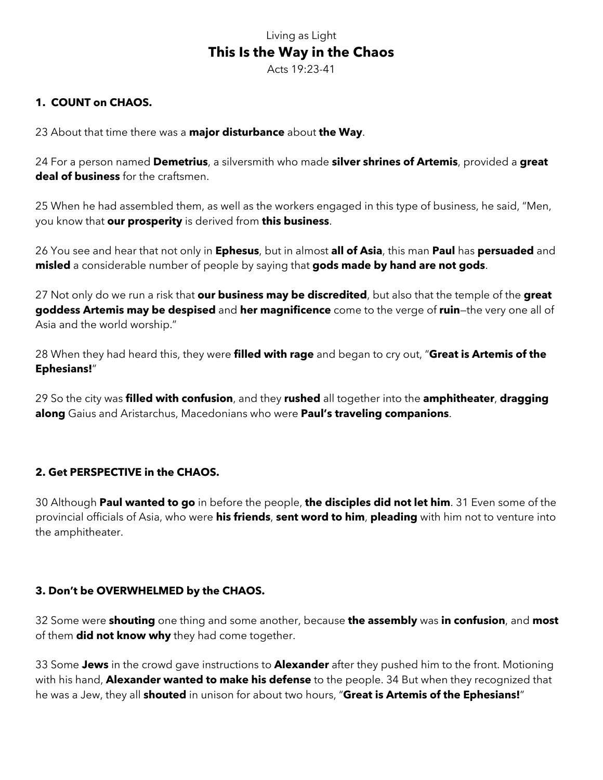# Living as Light **This Is the Way in the Chaos**

Acts 19:23-41

# **1. COUNT on CHAOS.**

23 About that time there was a **major disturbance** about **the Way**.

24 For a person named **Demetrius**, a silversmith who made **silver shrines of Artemis**, provided a **great deal of business** for the craftsmen.

25 When he had assembled them, as well as the workers engaged in this type of business, he said, "Men, you know that **our prosperity** is derived from **this business**.

26 You see and hear that not only in **Ephesus**, but in almost **all of Asia**, this man **Paul** has **persuaded** and **misled** a considerable number of people by saying that **gods made by hand are not gods**.

27 Not only do we run a risk that **our business may be discredited**, but also that the temple of the **great goddess Artemis may be despised** and **her magnificence** come to the verge of **ruin**—the very one all of Asia and the world worship."

28 When they had heard this, they were **filled with rage** and began to cry out, "**Great is Artemis of the Ephesians!**"

29 So the city was **filled with confusion**, and they **rushed** all together into the **amphitheater**, **dragging along** Gaius and Aristarchus, Macedonians who were **Paul's traveling companions**.

### **2. Get PERSPECTIVE in the CHAOS.**

30 Although **Paul wanted to go** in before the people, **the disciples did not let him**. 31 Even some of the provincial officials of Asia, who were **his friends**, **sent word to him**, **pleading** with him not to venture into the amphitheater.

### **3. Don't be OVERWHELMED by the CHAOS.**

32 Some were **shouting** one thing and some another, because **the assembly** was **in confusion**, and **most** of them **did not know why** they had come together.

33 Some **Jews** in the crowd gave instructions to **Alexander** after they pushed him to the front. Motioning with his hand, **Alexander wanted to make his defense** to the people. 34 But when they recognized that he was a Jew, they all **shouted** in unison for about two hours, "**Great is Artemis of the Ephesians!**"